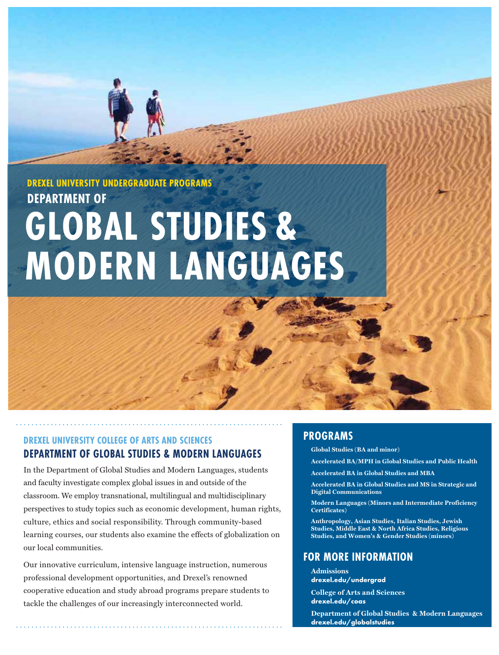**DREXEL UNIVERSITY UNDERGRADUATE PROGRAMS DEPARTMENT OF**

# **GLOBAL STUDIES & MODERN LANGUAGES**

# **DREXEL UNIVERSITY COLLEGE OF ARTS AND SCIENCES DEPARTMENT OF GLOBAL STUDIES & MODERN LANGUAGES**

In the Department of Global Studies and Modern Languages, students and faculty investigate complex global issues in and outside of the classroom. We employ transnational, multilingual and multidisciplinary perspectives to study topics such as economic development, human rights, culture, ethics and social responsibility. Through community-based learning courses, our students also examine the effects of globalization on our local communities.

Our innovative curriculum, intensive language instruction, numerous professional development opportunities, and Drexel's renowned cooperative education and study abroad programs prepare students to tackle the challenges of our increasingly interconnected world.

# **PROGRAMS**

 $Global$  Studies (BA and minor)

Accelerated BA/MPH in Global Studies and Public Health

**Accelerated BA in Global Studies and MBA** 

Accelerated BA in Global Studies and MS in Strategic and **Digital Communications** 

**Modern Languages (Minors and Intermediate Proficiency**  $Centifiers$ 

Anthropology, Asian Studies, Italian Studies, Jewish **Studies, Middle East & North Africa Studies, Religious Landage Example 1 Studies** (minors) **Zigartal** 

# **FOR MORE INFORMATION**

**Admissions drexel.edu/undergrad**

**College of Arts and Sciences drexel.edu/coas**

**Department of Global Studies & Modern Languages drexel.edu/globalstudies**